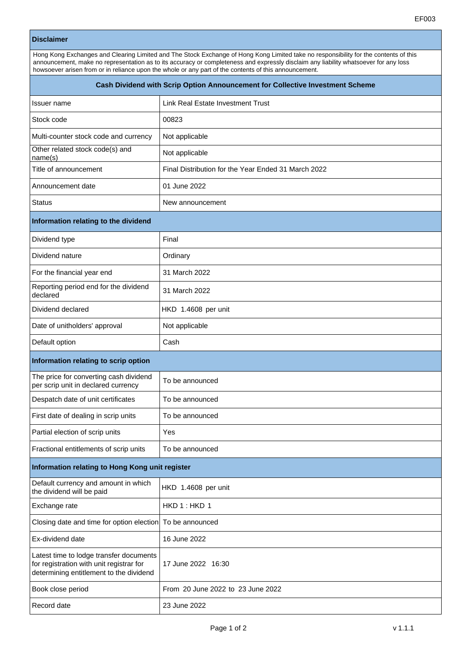## **Disclaimer**

Hong Kong Exchanges and Clearing Limited and The Stock Exchange of Hong Kong Limited take no responsibility for the contents of this announcement, make no representation as to its accuracy or completeness and expressly disclaim any liability whatsoever for any loss howsoever arisen from or in reliance upon the whole or any part of the contents of this announcement.

| Cash Dividend with Scrip Option Announcement for Collective Investment Scheme                                                  |                                                     |
|--------------------------------------------------------------------------------------------------------------------------------|-----------------------------------------------------|
| Issuer name                                                                                                                    | Link Real Estate Investment Trust                   |
| Stock code                                                                                                                     | 00823                                               |
| Multi-counter stock code and currency                                                                                          | Not applicable                                      |
| Other related stock code(s) and<br>name(s)                                                                                     | Not applicable                                      |
| Title of announcement                                                                                                          | Final Distribution for the Year Ended 31 March 2022 |
| Announcement date                                                                                                              | 01 June 2022                                        |
| <b>Status</b>                                                                                                                  | New announcement                                    |
| Information relating to the dividend                                                                                           |                                                     |
| Dividend type                                                                                                                  | Final                                               |
| Dividend nature                                                                                                                | Ordinary                                            |
| For the financial year end                                                                                                     | 31 March 2022                                       |
| Reporting period end for the dividend<br>declared                                                                              | 31 March 2022                                       |
| Dividend declared                                                                                                              | HKD 1.4608 per unit                                 |
| Date of unitholders' approval                                                                                                  | Not applicable                                      |
| Default option                                                                                                                 | Cash                                                |
| Information relating to scrip option                                                                                           |                                                     |
| The price for converting cash dividend<br>per scrip unit in declared currency                                                  | To be announced                                     |
| Despatch date of unit certificates                                                                                             | To be announced                                     |
| First date of dealing in scrip units                                                                                           | To be announced                                     |
| Partial election of scrip units                                                                                                | Yes                                                 |
| Fractional entitlements of scrip units                                                                                         | To be announced                                     |
| Information relating to Hong Kong unit register                                                                                |                                                     |
| Default currency and amount in which<br>the dividend will be paid                                                              | HKD 1.4608 per unit                                 |
| Exchange rate                                                                                                                  | HKD 1: HKD 1                                        |
| Closing date and time for option election To be announced                                                                      |                                                     |
| Ex-dividend date                                                                                                               | 16 June 2022                                        |
| Latest time to lodge transfer documents<br>for registration with unit registrar for<br>determining entitlement to the dividend | 17 June 2022 16:30                                  |
| Book close period                                                                                                              | From 20 June 2022 to 23 June 2022                   |
| Record date                                                                                                                    | 23 June 2022                                        |